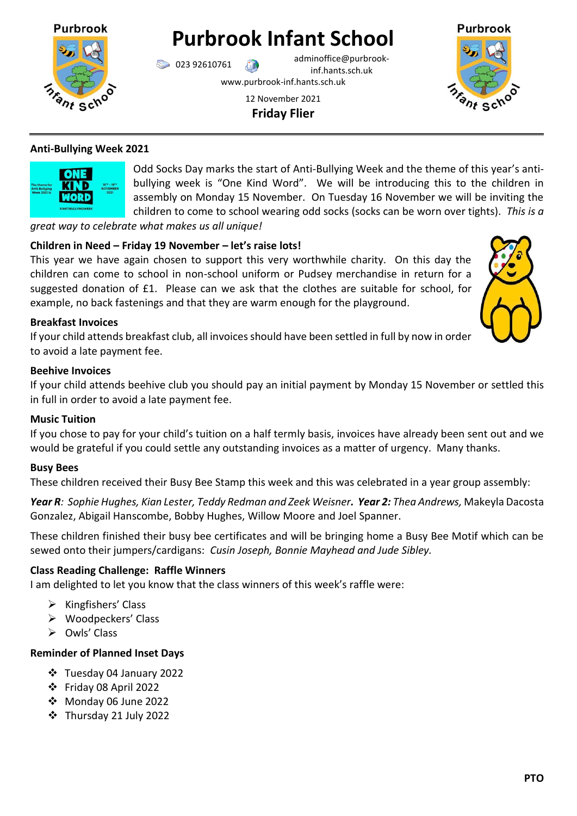

**Purbrook Infant School**

023 92610761 adminoffice@purbrookinf.hants.sch.uk

www.purbrook-inf.hants.sch.uk

12 November 2021 **Friday Flier**



# **Anti-Bullying Week 2021**



Odd Socks Day marks the start of Anti-Bullying Week and the theme of this year's antibullying week is "One Kind Word". We will be introducing this to the children in assembly on Monday 15 November. On Tuesday 16 November we will be inviting the children to come to school wearing odd socks (socks can be worn over tights). *This is a* 

*great way to celebrate what makes us all unique!*

# **Children in Need – Friday 19 November – let's raise lots!**

This year we have again chosen to support this very worthwhile charity. On this day the children can come to school in non-school uniform or Pudsey merchandise in return for a suggested donation of £1. Please can we ask that the clothes are suitable for school, for example, no back fastenings and that they are warm enough for the playground.



## **Breakfast Invoices**

If your child attends breakfast club, all invoices should have been settled in full by now in order to avoid a late payment fee.

### **Beehive Invoices**

If your child attends beehive club you should pay an initial payment by Monday 15 November or settled this in full in order to avoid a late payment fee.

### **Music Tuition**

If you chose to pay for your child's tuition on a half termly basis, invoices have already been sent out and we would be grateful if you could settle any outstanding invoices as a matter of urgency. Many thanks.

### **Busy Bees**

These children received their Busy Bee Stamp this week and this was celebrated in a year group assembly:

*Year R: Sophie Hughes, Kian Lester, Teddy Redman and Zeek Weisner. Year 2: Thea Andrews,* Makeyla Dacosta Gonzalez, Abigail Hanscombe, Bobby Hughes, Willow Moore and Joel Spanner.

These children finished their busy bee certificates and will be bringing home a Busy Bee Motif which can be sewed onto their jumpers/cardigans: *Cusin Joseph, Bonnie Mayhead and Jude Sibley.*

### **Class Reading Challenge: Raffle Winners**

I am delighted to let you know that the class winners of this week's raffle were:

- $\triangleright$  Kingfishers' Class
- Woodpeckers' Class
- $\triangleright$  Owls' Class

# **Reminder of Planned Inset Days**

- Tuesday 04 January 2022
- Friday 08 April 2022
- Monday 06 June 2022
- Thursday 21 July 2022